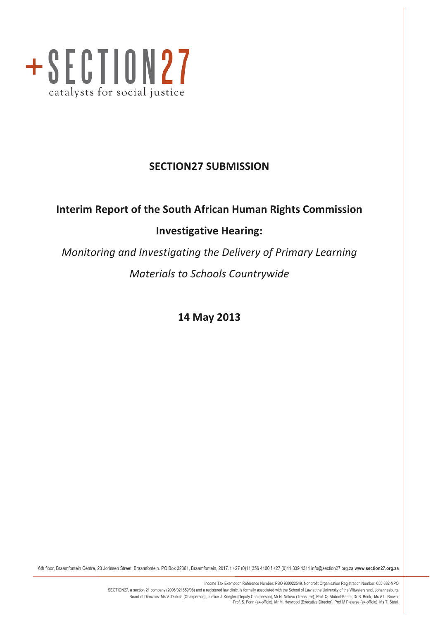

# **SECTION27 SUBMISSION**

# **Interim Report of the South African Human Rights Commission Investigative Hearing:**

*Monitoring and Investigating the Delivery of Primary Learning Materials to Schools Countrywide* 

**14 May 2013**

6th floor, Braamfontein Centre, 23 Jorissen Street, Braamfontein. PO Box 32361, Braamfontein, 2017. t +27 (0)11 356 4100 f +27 (0)11 339 4311 info@section27.org.za **www.section27.org.za**

Income Tax Exemption Reference Number: PBO 930022549. Nonprofit Organisation Registration Number: 055-382-NPO SECTION27, a section 21 company (2006/021659/08) and a registered law clinic, is formally associated with the School of Law at the University of the Witwatersrand, Johannesburg. Board of Directors: Ms V. Dubula (Chairperson), Justice J. Kriegler (Deputy Chairperson), Mr N. Ndlovu (Treasurer), Prof. Q. Abdool-Karim, Dr B. Brink, Ms A.L. Brown,<br>Prof. S. Fonn (ex-officio), Mr M. Heywood (Executive D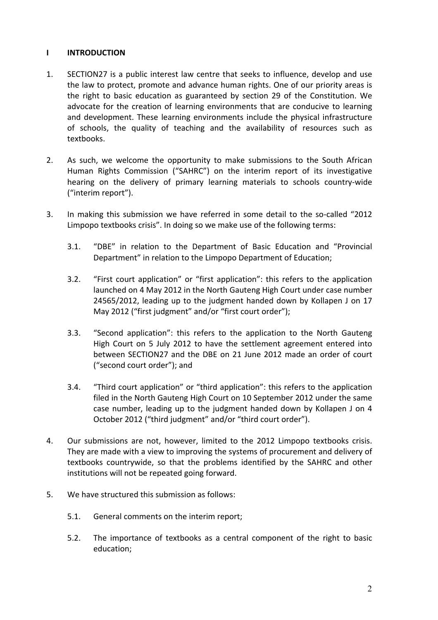# **I INTRODUCTION**

- 1. SECTION27 is a public interest law centre that seeks to influence, develop and use the law to protect, promote and advance human rights. One of our priority areas is the right to basic education as guaranteed by section 29 of the Constitution. We advocate for the creation of learning environments that are conducive to learning and development. These learning environments include the physical infrastructure of schools, the quality of teaching and the availability of resources such as textbooks.
- 2. As such, we welcome the opportunity to make submissions to the South African Human Rights Commission ("SAHRC") on the interim report of its investigative hearing on the delivery of primary learning materials to schools country-wide ("interim report").
- 3. In making this submission we have referred in some detail to the so-called "2012 Limpopo textbooks crisis". In doing so we make use of the following terms:
	- 3.1. "DBE" in relation to the Department of Basic Education and "Provincial Department" in relation to the Limpopo Department of Education;
	- 3.2. "First court application" or "first application": this refers to the application launched on 4 May 2012 in the North Gauteng High Court under case number 24565/2012, leading up to the judgment handed down by Kollapen J on 17 May 2012 ("first judgment" and/or "first court order");
	- 3.3. "Second application": this refers to the application to the North Gauteng High Court on 5 July 2012 to have the settlement agreement entered into between SECTION27 and the DBE on 21 June 2012 made an order of court ("second court order"); and
	- 3.4. "Third court application" or "third application": this refers to the application filed in the North Gauteng High Court on 10 September 2012 under the same case number, leading up to the judgment handed down by Kollapen J on 4 October 2012 ("third judgment" and/or "third court order").
- 4. Our submissions are not, however, limited to the 2012 Limpopo textbooks crisis. They are made with a view to improving the systems of procurement and delivery of textbooks countrywide, so that the problems identified by the SAHRC and other institutions will not be repeated going forward.
- 5. We have structured this submission as follows:
	- 5.1. General comments on the interim report;
	- 5.2. The importance of textbooks as a central component of the right to basic education;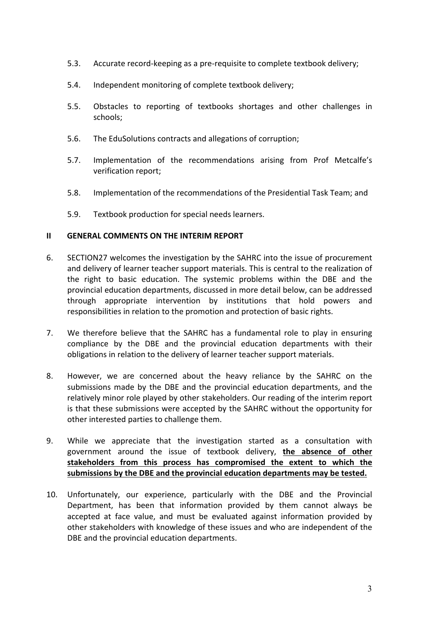- 5.3. Accurate record-keeping as a pre-requisite to complete textbook delivery;
- 5.4. Independent monitoring of complete textbook delivery;
- 5.5. Obstacles to reporting of textbooks shortages and other challenges in schools;
- 5.6. The EduSolutions contracts and allegations of corruption;
- 5.7. Implementation of the recommendations arising from Prof Metcalfe's verification report;
- 5.8. Implementation of the recommendations of the Presidential Task Team; and
- 5.9. Textbook production for special needs learners.

#### **II GENERAL COMMENTS ON THE INTERIM REPORT**

- 6. SECTION27 welcomes the investigation by the SAHRC into the issue of procurement and delivery of learner teacher support materials. This is central to the realization of the right to basic education. The systemic problems within the DBE and the provincial education departments, discussed in more detail below, can be addressed through appropriate intervention by institutions that hold powers and responsibilities in relation to the promotion and protection of basic rights.
- 7. We therefore believe that the SAHRC has a fundamental role to play in ensuring compliance by the DBE and the provincial education departments with their obligations in relation to the delivery of learner teacher support materials.
- 8. However, we are concerned about the heavy reliance by the SAHRC on the submissions made by the DBE and the provincial education departments, and the relatively minor role played by other stakeholders. Our reading of the interim report is that these submissions were accepted by the SAHRC without the opportunity for other interested parties to challenge them.
- 9. While we appreciate that the investigation started as a consultation with government around the issue of textbook delivery, the absence of other stakeholders from this process has compromised the extent to which the submissions by the DBE and the provincial education departments may be tested.
- 10. Unfortunately, our experience, particularly with the DBE and the Provincial Department, has been that information provided by them cannot always be accepted at face value, and must be evaluated against information provided by other stakeholders with knowledge of these issues and who are independent of the DBE and the provincial education departments.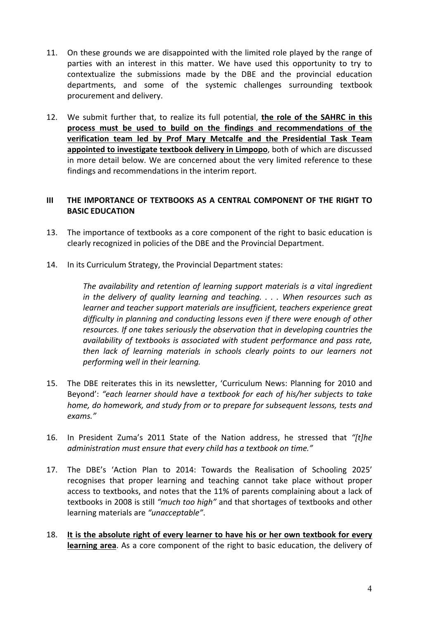- 11. On these grounds we are disappointed with the limited role played by the range of parties with an interest in this matter. We have used this opportunity to try to contextualize the submissions made by the DBE and the provincial education departments, and some of the systemic challenges surrounding textbook procurement and delivery.
- 12. We submit further that, to realize its full potential, the role of the SAHRC in this process must be used to build on the findings and recommendations of the verification team led by Prof Mary Metcalfe and the Presidential Task Team appointed to investigate textbook delivery in Limpopo, both of which are discussed in more detail below. We are concerned about the very limited reference to these findings and recommendations in the interim report.

# **III** THE IMPORTANCE OF TEXTBOOKS AS A CENTRAL COMPONENT OF THE RIGHT TO **BASIC EDUCATION**

- 13. The importance of textbooks as a core component of the right to basic education is clearly recognized in policies of the DBE and the Provincial Department.
- 14. In its Curriculum Strategy, the Provincial Department states:

The availability and retention of learning support materials is a vital ingredient *in* the delivery of quality learning and teaching. . . . When resources such as *learner* and *teacher support materials are insufficient, teachers experience great* difficulty in planning and conducting lessons even if there were enough of other *resources.* If one takes seriously the observation that in developing countries the *availability* of textbooks is associated with student performance and pass rate, then lack of learning materials in schools clearly points to our learners not *performing well in their learning.*

- 15. The DBE reiterates this in its newsletter, 'Curriculum News: Planning for 2010 and Beyond': "each learner should have a textbook for each of his/her subjects to take *home, do homework, and study from or to prepare for subsequent lessons, tests and exams."*
- 16. In President Zuma's 2011 State of the Nation address, he stressed that "[t]he *administration must ensure that every child has a textbook on time."*
- 17. The DBE's 'Action Plan to 2014: Towards the Realisation of Schooling 2025' recognises that proper learning and teaching cannot take place without proper access to textbooks, and notes that the 11% of parents complaining about a lack of textbooks in 2008 is still *"much too high"* and that shortages of textbooks and other learning materials are "unacceptable".
- 18. It is the absolute right of every learner to have his or her own textbook for every learning area. As a core component of the right to basic education, the delivery of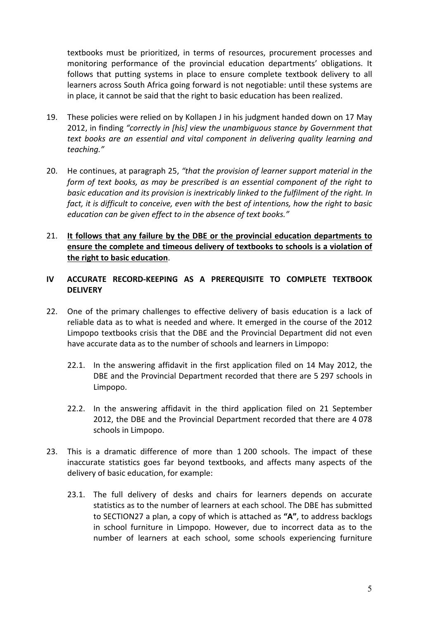textbooks must be prioritized, in terms of resources, procurement processes and monitoring performance of the provincial education departments' obligations. It follows that putting systems in place to ensure complete textbook delivery to all learners across South Africa going forward is not negotiable: until these systems are in place, it cannot be said that the right to basic education has been realized.

- 19. These policies were relied on by Kollapen J in his judgment handed down on 17 May 2012, in finding "correctly in [his] view the unambiguous stance by Government that text books are an essential and vital component in delivering quality learning and *teaching."*
- 20. He continues, at paragraph 25, "that the provision of learner support material in the *form* of text books, as may be prescribed is an essential component of the right to basic education and its provision is inextricably linked to the fulfilment of the right. In *fact, it is difficult to conceive, even with the best of intentions, how the right to basic education can be given effect to in the absence of text books."*
- 21. It follows that any failure by the DBE or the provincial education departments to ensure the complete and timeous delivery of textbooks to schools is a violation of **the right to basic education.**

# **IV ACCURATE RECORD-KEEPING AS A PREREQUISITE TO COMPLETE TEXTBOOK DELIVERY**

- 22. One of the primary challenges to effective delivery of basis education is a lack of reliable data as to what is needed and where. It emerged in the course of the 2012 Limpopo textbooks crisis that the DBE and the Provincial Department did not even have accurate data as to the number of schools and learners in Limpopo:
	- 22.1. In the answering affidavit in the first application filed on 14 May 2012, the DBE and the Provincial Department recorded that there are 5 297 schools in Limpopo.
	- 22.2. In the answering affidavit in the third application filed on 21 September 2012, the DBE and the Provincial Department recorded that there are 4078 schools in Limpopo.
- 23. This is a dramatic difference of more than 1 200 schools. The impact of these inaccurate statistics goes far beyond textbooks, and affects many aspects of the delivery of basic education, for example:
	- 23.1. The full delivery of desks and chairs for learners depends on accurate statistics as to the number of learners at each school. The DBE has submitted to SECTION27 a plan, a copy of which is attached as "A", to address backlogs in school furniture in Limpopo. However, due to incorrect data as to the number of learners at each school, some schools experiencing furniture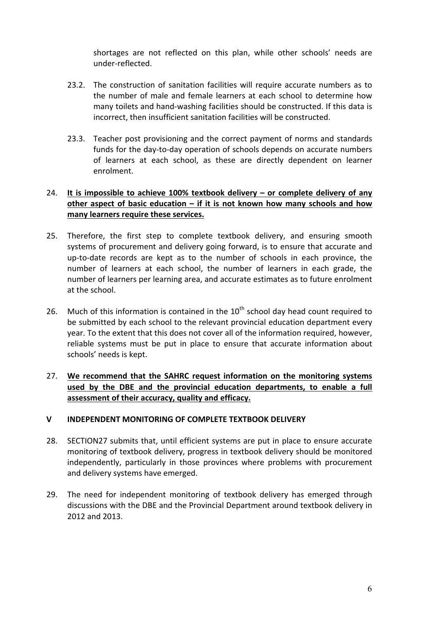shortages are not reflected on this plan, while other schools' needs are under-reflected.

- 23.2. The construction of sanitation facilities will require accurate numbers as to the number of male and female learners at each school to determine how many toilets and hand-washing facilities should be constructed. If this data is incorrect, then insufficient sanitation facilities will be constructed.
- 23.3. Teacher post provisioning and the correct payment of norms and standards funds for the day-to-day operation of schools depends on accurate numbers of learners at each school, as these are directly dependent on learner enrolment.

# 24. It is impossible to achieve 100% textbook delivery – or complete delivery of any other aspect of basic education – if it is not known how many schools and how many learners require these services.

- 25. Therefore, the first step to complete textbook delivery, and ensuring smooth systems of procurement and delivery going forward, is to ensure that accurate and up-to-date records are kept as to the number of schools in each province, the number of learners at each school, the number of learners in each grade, the number of learners per learning area, and accurate estimates as to future enrolment at the school.
- 26. Much of this information is contained in the  $10^{th}$  school day head count required to be submitted by each school to the relevant provincial education department every year. To the extent that this does not cover all of the information required, however, reliable systems must be put in place to ensure that accurate information about schools' needs is kept.

# 27. We recommend that the SAHRC request information on the monitoring systems used by the DBE and the provincial education departments, to enable a full assessment of their accuracy, quality and efficacy.

#### **V INDEPENDENT MONITORING OF COMPLETE TEXTBOOK DELIVERY**

- 28. SECTION27 submits that, until efficient systems are put in place to ensure accurate monitoring of textbook delivery, progress in textbook delivery should be monitored independently, particularly in those provinces where problems with procurement and delivery systems have emerged.
- 29. The need for independent monitoring of textbook delivery has emerged through discussions with the DBE and the Provincial Department around textbook delivery in 2012 and 2013.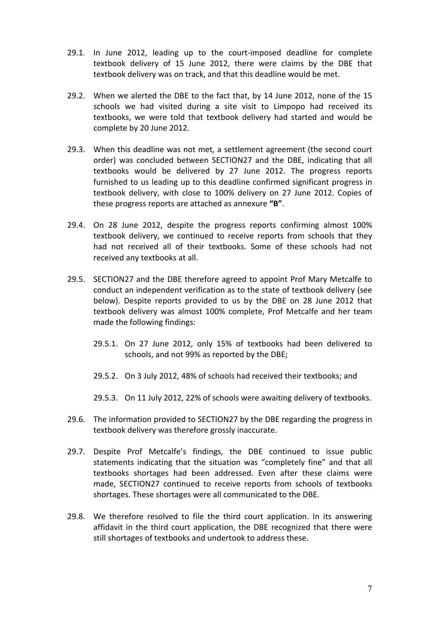- 29.1. In June 2012, leading up to the court-imposed deadline for complete textbook delivery of 15 June 2012, there were claims by the DBE that textbook delivery was on track, and that this deadline would be met.
- 29.2. When we alerted the DBE to the fact that, by 14 June 2012, none of the 15 schools we had visited during a site visit to Limpopo had received its textbooks, we were told that textbook delivery had started and would be complete by 20 June 2012.
- 29.3. When this deadline was not met, a settlement agreement (the second court order) was concluded between SECTION27 and the DBE, indicating that all textbooks would be delivered by 27 June 2012. The progress reports furnished to us leading up to this deadline confirmed significant progress in textbook delivery, with close to 100% delivery on 27 June 2012. Copies of these progress reports are attached as annexure "**B**".
- 29.4. On 28 June 2012, despite the progress reports confirming almost 100% textbook delivery, we continued to receive reports from schools that they had not received all of their textbooks. Some of these schools had not received any textbooks at all.
- 29.5. SECTION27 and the DBE therefore agreed to appoint Prof Mary Metcalfe to conduct an independent verification as to the state of textbook delivery (see below). Despite reports provided to us by the DBE on 28 June 2012 that textbook delivery was almost 100% complete, Prof Metcalfe and her team made the following findings:
	- 29.5.1. On 27 June 2012, only 15% of textbooks had been delivered to schools, and not 99% as reported by the DBE;
	- 29.5.2. On 3 July 2012, 48% of schools had received their textbooks; and
	- 29.5.3. On 11 July 2012, 22% of schools were awaiting delivery of textbooks.
- 29.6. The information provided to SECTION27 by the DBE regarding the progress in textbook delivery was therefore grossly inaccurate.
- 29.7. Despite Prof Metcalfe's findings, the DBE continued to issue public statements indicating that the situation was "completely fine" and that all textbooks shortages had been addressed. Even after these claims were made, SECTION27 continued to receive reports from schools of textbooks shortages. These shortages were all communicated to the DBE.
- 29.8. We therefore resolved to file the third court application. In its answering affidavit in the third court application, the DBE recognized that there were still shortages of textbooks and undertook to address these.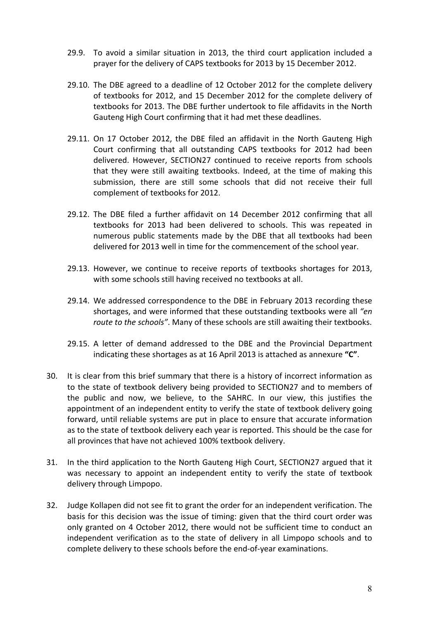- 29.9. To avoid a similar situation in 2013, the third court application included a prayer for the delivery of CAPS textbooks for 2013 by 15 December 2012.
- 29.10. The DBE agreed to a deadline of 12 October 2012 for the complete delivery of textbooks for 2012, and 15 December 2012 for the complete delivery of textbooks for 2013. The DBE further undertook to file affidavits in the North Gauteng High Court confirming that it had met these deadlines.
- 29.11. On 17 October 2012, the DBE filed an affidavit in the North Gauteng High Court confirming that all outstanding CAPS textbooks for 2012 had been delivered. However, SECTION27 continued to receive reports from schools that they were still awaiting textbooks. Indeed, at the time of making this submission, there are still some schools that did not receive their full complement of textbooks for 2012.
- 29.12. The DBE filed a further affidavit on 14 December 2012 confirming that all textbooks for 2013 had been delivered to schools. This was repeated in numerous public statements made by the DBE that all textbooks had been delivered for 2013 well in time for the commencement of the school year.
- 29.13. However, we continue to receive reports of textbooks shortages for 2013, with some schools still having received no textbooks at all.
- 29.14. We addressed correspondence to the DBE in February 2013 recording these shortages, and were informed that these outstanding textbooks were all "en *route to the schools"*. Many of these schools are still awaiting their textbooks.
- 29.15. A letter of demand addressed to the DBE and the Provincial Department indicating these shortages as at 16 April 2013 is attached as annexure "C".
- 30. It is clear from this brief summary that there is a history of incorrect information as to the state of textbook delivery being provided to SECTION27 and to members of the public and now, we believe, to the SAHRC. In our view, this justifies the appointment of an independent entity to verify the state of textbook delivery going forward, until reliable systems are put in place to ensure that accurate information as to the state of textbook delivery each year is reported. This should be the case for all provinces that have not achieved 100% textbook delivery.
- 31. In the third application to the North Gauteng High Court, SECTION27 argued that it was necessary to appoint an independent entity to verify the state of textbook delivery through Limpopo.
- 32. Judge Kollapen did not see fit to grant the order for an independent verification. The basis for this decision was the issue of timing: given that the third court order was only granted on 4 October 2012, there would not be sufficient time to conduct an independent verification as to the state of delivery in all Limpopo schools and to complete delivery to these schools before the end-of-year examinations.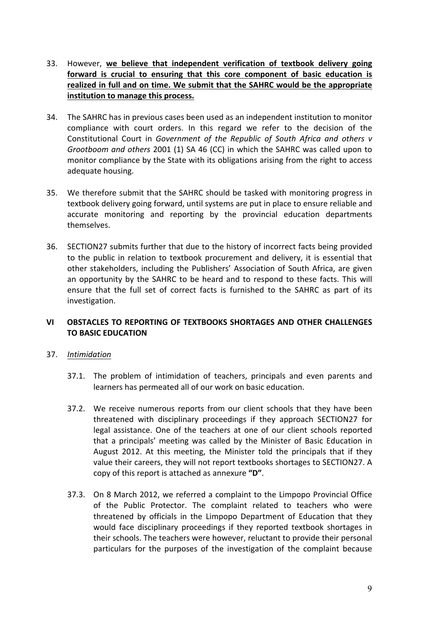- 33. However, we believe that independent verification of textbook delivery going forward is crucial to ensuring that this core component of basic education is realized in full and on time. We submit that the SAHRC would be the appropriate **institution to manage this process.**
- 34. The SAHRC has in previous cases been used as an independent institution to monitor compliance with court orders. In this regard we refer to the decision of the Constitutional Court in Government of the Republic of South Africa and others v *Grootboom and others* 2001 (1) SA 46 (CC) in which the SAHRC was called upon to monitor compliance by the State with its obligations arising from the right to access adequate housing.
- 35. We therefore submit that the SAHRC should be tasked with monitoring progress in textbook delivery going forward, until systems are put in place to ensure reliable and accurate monitoring and reporting by the provincial education departments themselves.
- 36. SECTION27 submits further that due to the history of incorrect facts being provided to the public in relation to textbook procurement and delivery, it is essential that other stakeholders, including the Publishers' Association of South Africa, are given an opportunity by the SAHRC to be heard and to respond to these facts. This will ensure that the full set of correct facts is furnished to the SAHRC as part of its investigation.

# **VI OBSTACLES TO REPORTING OF TEXTBOOKS SHORTAGES AND OTHER CHALLENGES TO BASIC EDUCATION**

# 37. *Intimidation*

- 37.1. The problem of intimidation of teachers, principals and even parents and learners has permeated all of our work on basic education.
- 37.2. We receive numerous reports from our client schools that they have been threatened with disciplinary proceedings if they approach SECTION27 for legal assistance. One of the teachers at one of our client schools reported that a principals' meeting was called by the Minister of Basic Education in August 2012. At this meeting, the Minister told the principals that if they value their careers, they will not report textbooks shortages to SECTION27. A copy of this report is attached as annexure "D".
- 37.3. On 8 March 2012, we referred a complaint to the Limpopo Provincial Office of the Public Protector. The complaint related to teachers who were threatened by officials in the Limpopo Department of Education that they would face disciplinary proceedings if they reported textbook shortages in their schools. The teachers were however, reluctant to provide their personal particulars for the purposes of the investigation of the complaint because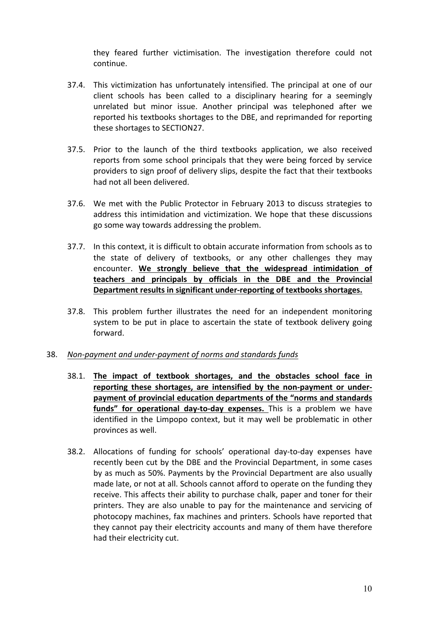they feared further victimisation. The investigation therefore could not continue.

- 37.4. This victimization has unfortunately intensified. The principal at one of our client schools has been called to a disciplinary hearing for a seemingly unrelated but minor issue. Another principal was telephoned after we reported his textbooks shortages to the DBE, and reprimanded for reporting these shortages to SECTION27.
- 37.5. Prior to the launch of the third textbooks application, we also received reports from some school principals that they were being forced by service providers to sign proof of delivery slips, despite the fact that their textbooks had not all been delivered.
- 37.6. We met with the Public Protector in February 2013 to discuss strategies to address this intimidation and victimization. We hope that these discussions go some way towards addressing the problem.
- 37.7. In this context, it is difficult to obtain accurate information from schools as to the state of delivery of textbooks, or any other challenges they may encounter. We strongly believe that the widespread intimidation of **teachers and principals by officials in the DBE and the Provincial**  Department results in significant under-reporting of textbooks shortages.
- 37.8. This problem further illustrates the need for an independent monitoring system to be put in place to ascertain the state of textbook delivery going forward.

#### 38. Non-payment and under-payment of norms and standards funds

- 38.1. The impact of textbook shortages, and the obstacles school face in reporting these shortages, are intensified by the non-payment or underpayment of provincial education departments of the "norms and standards funds" for operational day-to-day expenses. This is a problem we have identified in the Limpopo context, but it may well be problematic in other provinces as well.
- 38.2. Allocations of funding for schools' operational day-to-day expenses have recently been cut by the DBE and the Provincial Department, in some cases by as much as 50%. Payments by the Provincial Department are also usually made late, or not at all. Schools cannot afford to operate on the funding they receive. This affects their ability to purchase chalk, paper and toner for their printers. They are also unable to pay for the maintenance and servicing of photocopy machines, fax machines and printers. Schools have reported that they cannot pay their electricity accounts and many of them have therefore had their electricity cut.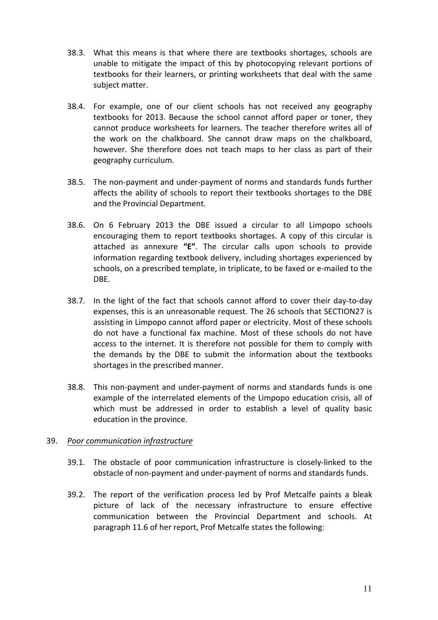- 38.3. What this means is that where there are textbooks shortages, schools are unable to mitigate the impact of this by photocopying relevant portions of textbooks for their learners, or printing worksheets that deal with the same subject matter.
- 38.4. For example, one of our client schools has not received any geography textbooks for 2013. Because the school cannot afford paper or toner, they cannot produce worksheets for learners. The teacher therefore writes all of the work on the chalkboard. She cannot draw maps on the chalkboard, however. She therefore does not teach maps to her class as part of their geography curriculum.
- 38.5. The non-payment and under-payment of norms and standards funds further affects the ability of schools to report their textbooks shortages to the DBE and the Provincial Department.
- 38.6. On 6 February 2013 the DBE issued a circular to all Limpopo schools encouraging them to report textbooks shortages. A copy of this circular is attached as annexure "E". The circular calls upon schools to provide information regarding textbook delivery, including shortages experienced by schools, on a prescribed template, in triplicate, to be faxed or e-mailed to the DBE.
- 38.7. In the light of the fact that schools cannot afford to cover their day-to-day expenses, this is an unreasonable request. The 26 schools that SECTION27 is assisting in Limpopo cannot afford paper or electricity. Most of these schools do not have a functional fax machine. Most of these schools do not have access to the internet. It is therefore not possible for them to comply with the demands by the DBE to submit the information about the textbooks shortages in the prescribed manner.
- 38.8. This non-payment and under-payment of norms and standards funds is one example of the interrelated elements of the Limpopo education crisis, all of which must be addressed in order to establish a level of quality basic education in the province.

# 39. Poor communication infrastructure

- 39.1. The obstacle of poor communication infrastructure is closely-linked to the obstacle of non-payment and under-payment of norms and standards funds.
- 39.2. The report of the verification process led by Prof Metcalfe paints a bleak picture of lack of the necessary infrastructure to ensure effective communication between the Provincial Department and schools. At paragraph 11.6 of her report, Prof Metcalfe states the following: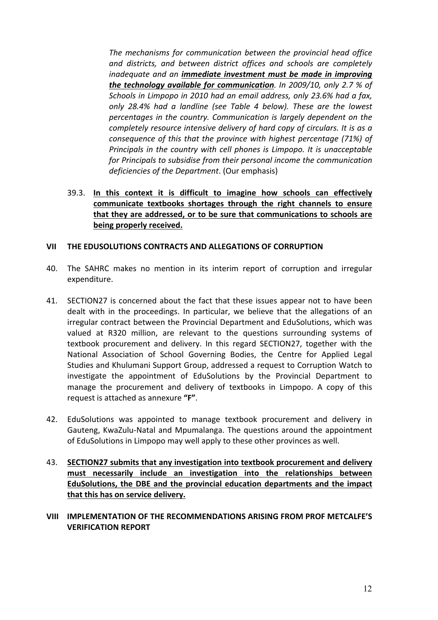The mechanisms for communication between the provincial head office and districts, and between district offices and schools are completely *inadequate and an immediate investment must be made in improving the technology available for communication.* In 2009/10, only 2.7 % of *Schools in Limpopo in 2010 had an email address, only 23.6% had a fax,* only 28.4% had a landline (see Table 4 below). These are the lowest *percentages in the country. Communication is largely dependent on the completely resource intensive delivery of hard copy of circulars. It is as a consequence of this that the province with highest percentage (71%) of Principals in the country with cell phones is Limpopo. It is unacceptable for Principals to subsidise from their personal income the communication* deficiencies of the Department. (Our emphasis)

39.3. In this context it is difficult to imagine how schools can effectively communicate textbooks shortages through the right channels to ensure that they are addressed, or to be sure that communications to schools are **being properly received.**

#### **VII** THE EDUSOLUTIONS CONTRACTS AND ALLEGATIONS OF CORRUPTION

- 40. The SAHRC makes no mention in its interim report of corruption and irregular expenditure.
- 41. SECTION27 is concerned about the fact that these issues appear not to have been dealt with in the proceedings. In particular, we believe that the allegations of an irregular contract between the Provincial Department and EduSolutions, which was valued at R320 million, are relevant to the questions surrounding systems of textbook procurement and delivery. In this regard SECTION27, together with the National Association of School Governing Bodies, the Centre for Applied Legal Studies and Khulumani Support Group, addressed a request to Corruption Watch to investigate the appointment of EduSolutions by the Provincial Department to manage the procurement and delivery of textbooks in Limpopo. A copy of this request is attached as annexure "F".
- 42. EduSolutions was appointed to manage textbook procurement and delivery in Gauteng, KwaZulu-Natal and Mpumalanga. The questions around the appointment of EduSolutions in Limpopo may well apply to these other provinces as well.
- 43. SECTION27 submits that any investigation into textbook procurement and delivery must necessarily include an investigation into the relationships between **EduSolutions, the DBE and the provincial education departments and the impact** that this has on service delivery.
- **VIII IMPLEMENTATION OF THE RECOMMENDATIONS ARISING FROM PROF METCALFE'S VERIFICATION REPORT**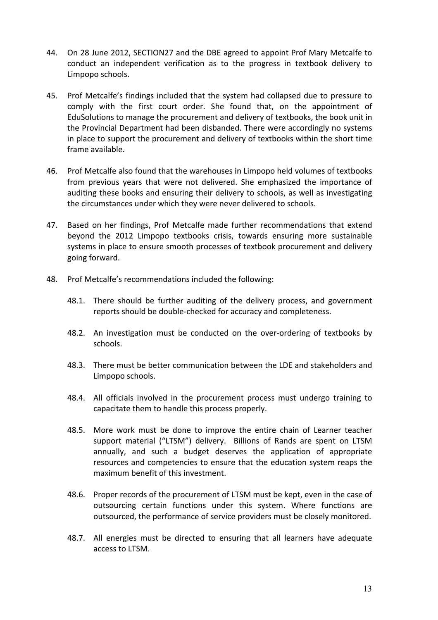- 44. On 28 June 2012, SECTION27 and the DBE agreed to appoint Prof Mary Metcalfe to conduct an independent verification as to the progress in textbook delivery to Limpopo schools.
- 45. Prof Metcalfe's findings included that the system had collapsed due to pressure to comply with the first court order. She found that, on the appointment of EduSolutions to manage the procurement and delivery of textbooks, the book unit in the Provincial Department had been disbanded. There were accordingly no systems in place to support the procurement and delivery of textbooks within the short time frame available.
- 46. Prof Metcalfe also found that the warehouses in Limpopo held volumes of textbooks from previous years that were not delivered. She emphasized the importance of auditing these books and ensuring their delivery to schools, as well as investigating the circumstances under which they were never delivered to schools.
- 47. Based on her findings, Prof Metcalfe made further recommendations that extend beyond the 2012 Limpopo textbooks crisis, towards ensuring more sustainable systems in place to ensure smooth processes of textbook procurement and delivery going forward.
- 48. Prof Metcalfe's recommendations included the following:
	- 48.1. There should be further auditing of the delivery process, and government reports should be double-checked for accuracy and completeness.
	- 48.2. An investigation must be conducted on the over-ordering of textbooks by schools.
	- 48.3. There must be better communication between the LDE and stakeholders and Limpopo schools.
	- 48.4. All officials involved in the procurement process must undergo training to capacitate them to handle this process properly.
	- 48.5. More work must be done to improve the entire chain of Learner teacher support material ("LTSM") delivery. Billions of Rands are spent on LTSM annually, and such a budget deserves the application of appropriate resources and competencies to ensure that the education system reaps the maximum benefit of this investment.
	- 48.6. Proper records of the procurement of LTSM must be kept, even in the case of outsourcing certain functions under this system. Where functions are outsourced, the performance of service providers must be closely monitored.
	- 48.7. All energies must be directed to ensuring that all learners have adequate access to LTSM.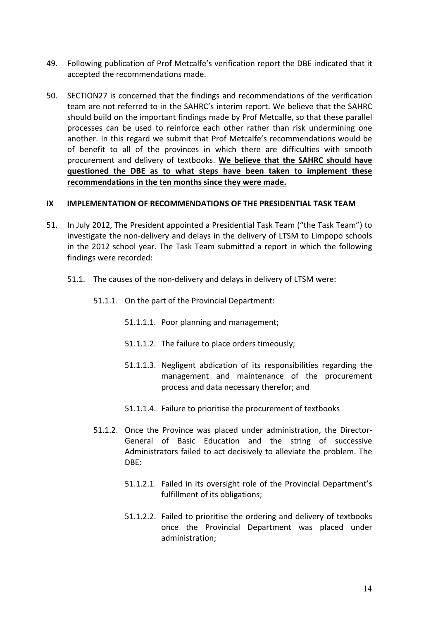- 49. Following publication of Prof Metcalfe's verification report the DBE indicated that it accepted the recommendations made.
- 50. SECTION27 is concerned that the findings and recommendations of the verification team are not referred to in the SAHRC's interim report. We believe that the SAHRC should build on the important findings made by Prof Metcalfe, so that these parallel processes can be used to reinforce each other rather than risk undermining one another. In this regard we submit that Prof Metcalfe's recommendations would be of benefit to all of the provinces in which there are difficulties with smooth procurement and delivery of textbooks. We believe that the SAHRC should have **questioned the DBE as to what steps have been taken to implement these**  recommendations in the ten months since they were made.

#### **IX IMPLEMENTATION OF RECOMMENDATIONS OF THE PRESIDENTIAL TASK TEAM**

- 51. In July 2012, The President appointed a Presidential Task Team ("the Task Team") to investigate the non-delivery and delays in the delivery of LTSM to Limpopo schools in the 2012 school year. The Task Team submitted a report in which the following findings were recorded:
	- 51.1. The causes of the non-delivery and delays in delivery of LTSM were:
		- 51.1.1. On the part of the Provincial Department:
			- 51.1.1.1. Poor planning and management;
			- 51.1.1.2. The failure to place orders timeously;
			- 51.1.1.3. Negligent abdication of its responsibilities regarding the management and maintenance of the procurement process and data necessary therefor; and
			- 51.1.1.4. Failure to prioritise the procurement of textbooks
		- 51.1.2. Once the Province was placed under administration, the Director-General of Basic Education and the string of successive Administrators failed to act decisively to alleviate the problem. The DBE:
			- 51.1.2.1. Failed in its oversight role of the Provincial Department's fulfillment of its obligations;
			- 51.1.2.2. Failed to prioritise the ordering and delivery of textbooks once the Provincial Department was placed under administration;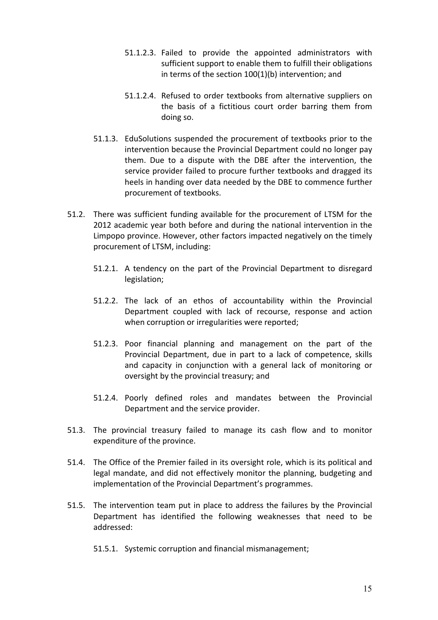- 51.1.2.3. Failed to provide the appointed administrators with sufficient support to enable them to fulfill their obligations in terms of the section  $100(1)(b)$  intervention; and
- 51.1.2.4. Refused to order textbooks from alternative suppliers on the basis of a fictitious court order barring them from doing so.
- 51.1.3. EduSolutions suspended the procurement of textbooks prior to the intervention because the Provincial Department could no longer pay them. Due to a dispute with the DBE after the intervention, the service provider failed to procure further textbooks and dragged its heels in handing over data needed by the DBE to commence further procurement of textbooks.
- 51.2. There was sufficient funding available for the procurement of LTSM for the 2012 academic year both before and during the national intervention in the Limpopo province. However, other factors impacted negatively on the timely procurement of LTSM, including:
	- 51.2.1. A tendency on the part of the Provincial Department to disregard legislation;
	- 51.2.2. The lack of an ethos of accountability within the Provincial Department coupled with lack of recourse, response and action when corruption or irregularities were reported;
	- 51.2.3. Poor financial planning and management on the part of the Provincial Department, due in part to a lack of competence, skills and capacity in conjunction with a general lack of monitoring or oversight by the provincial treasury; and
	- 51.2.4. Poorly defined roles and mandates between the Provincial Department and the service provider.
- 51.3. The provincial treasury failed to manage its cash flow and to monitor expenditure of the province.
- 51.4. The Office of the Premier failed in its oversight role, which is its political and legal mandate, and did not effectively monitor the planning, budgeting and implementation of the Provincial Department's programmes.
- 51.5. The intervention team put in place to address the failures by the Provincial Department has identified the following weaknesses that need to be addressed:
	- 51.5.1. Systemic corruption and financial mismanagement;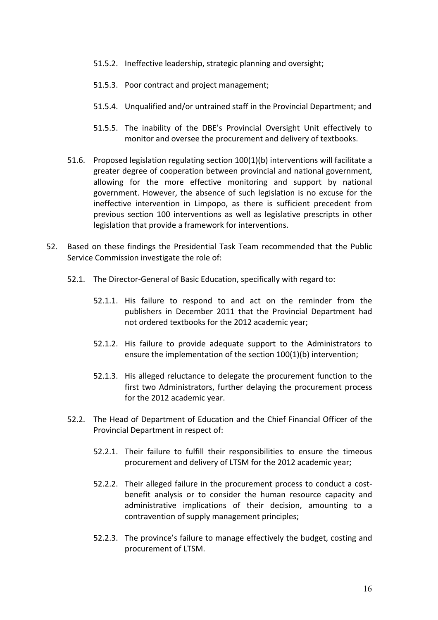- 51.5.2. Ineffective leadership, strategic planning and oversight;
- 51.5.3. Poor contract and project management;
- 51.5.4. Unqualified and/or untrained staff in the Provincial Department; and
- 51.5.5. The inability of the DBE's Provincial Oversight Unit effectively to monitor and oversee the procurement and delivery of textbooks.
- 51.6. Proposed legislation regulating section  $100(1)(b)$  interventions will facilitate a greater degree of cooperation between provincial and national government, allowing for the more effective monitoring and support by national government. However, the absence of such legislation is no excuse for the ineffective intervention in Limpopo, as there is sufficient precedent from previous section 100 interventions as well as legislative prescripts in other legislation that provide a framework for interventions.
- 52. Based on these findings the Presidential Task Team recommended that the Public Service Commission investigate the role of:
	- 52.1. The Director-General of Basic Education, specifically with regard to:
		- 52.1.1. His failure to respond to and act on the reminder from the publishers in December 2011 that the Provincial Department had not ordered textbooks for the 2012 academic year;
		- 52.1.2. His failure to provide adequate support to the Administrators to ensure the implementation of the section  $100(1)(b)$  intervention;
		- 52.1.3. His alleged reluctance to delegate the procurement function to the first two Administrators, further delaying the procurement process for the 2012 academic year.
	- 52.2. The Head of Department of Education and the Chief Financial Officer of the Provincial Department in respect of:
		- 52.2.1. Their failure to fulfill their responsibilities to ensure the timeous procurement and delivery of LTSM for the 2012 academic year;
		- 52.2.2. Their alleged failure in the procurement process to conduct a costbenefit analysis or to consider the human resource capacity and administrative implications of their decision, amounting to a contravention of supply management principles;
		- 52.2.3. The province's failure to manage effectively the budget, costing and procurement of LTSM.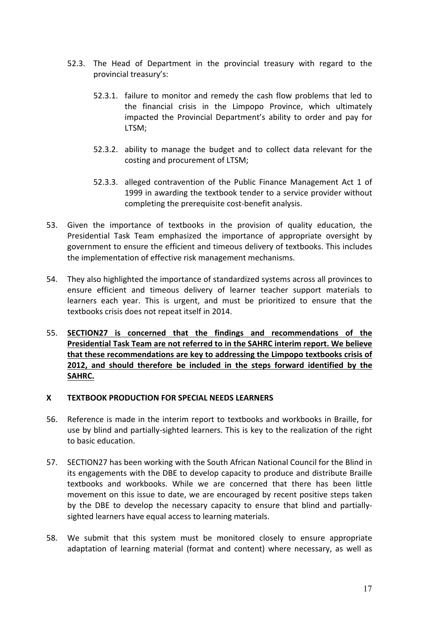- 52.3. The Head of Department in the provincial treasury with regard to the provincial treasury's:
	- 52.3.1. failure to monitor and remedy the cash flow problems that led to the financial crisis in the Limpopo Province, which ultimately impacted the Provincial Department's ability to order and pay for LTSM;
	- 52.3.2. ability to manage the budget and to collect data relevant for the costing and procurement of LTSM;
	- 52.3.3. alleged contravention of the Public Finance Management Act 1 of 1999 in awarding the textbook tender to a service provider without completing the prerequisite cost-benefit analysis.
- 53. Given the importance of textbooks in the provision of quality education, the Presidential Task Team emphasized the importance of appropriate oversight by government to ensure the efficient and timeous delivery of textbooks. This includes the implementation of effective risk management mechanisms.
- 54. They also highlighted the importance of standardized systems across all provinces to ensure efficient and timeous delivery of learner teacher support materials to learners each year. This is urgent, and must be prioritized to ensure that the textbooks crisis does not repeat itself in 2014.
- 55. **SECTION27** is concerned that the findings and recommendations of the Presidential Task Team are not referred to in the SAHRC interim report. We believe that these recommendations are key to addressing the Limpopo textbooks crisis of 2012, and should therefore be included in the steps forward identified by the **SAHRC.**

#### **X TEXTBOOK PRODUCTION FOR SPECIAL NEEDS LEARNERS**

- 56. Reference is made in the interim report to textbooks and workbooks in Braille, for use by blind and partially-sighted learners. This is key to the realization of the right to basic education.
- 57. SECTION27 has been working with the South African National Council for the Blind in its engagements with the DBE to develop capacity to produce and distribute Braille textbooks and workbooks. While we are concerned that there has been little movement on this issue to date, we are encouraged by recent positive steps taken by the DBE to develop the necessary capacity to ensure that blind and partiallysighted learners have equal access to learning materials.
- 58. We submit that this system must be monitored closely to ensure appropriate adaptation of learning material (format and content) where necessary, as well as